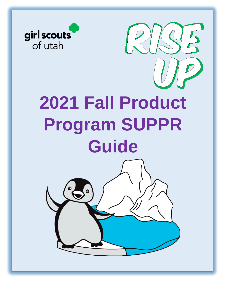

# **2021 Fall Product Program SUPPR Guide**

 $\Box$ 

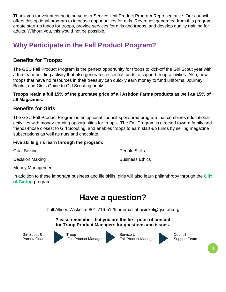Thank you for volunteering to serve as a Service Unit Product Program Representative. Our council offers this optional program to increase opportunities for girls. Revenues generated from this program create start-up funds for troops, provide services for girls and troops, and develop quality training for adults. Without you, this would not be possible.

# **Why Participate in the Fall Product Program?**

## **Benefits for Troops:**

The GSU Fall Product Program is the perfect opportunity for troops to kick-off the Girl Scout year with a fun team-building activity that also generates essential funds to support troop activities. Also, new troops that have no resources in their treasury can quickly earn money to fund uniforms, Journey Books, and Girl's Guide to Girl Scouting books.

**Troops retain a full 15% of the purchase price of all Ashdon Farms products as well as 15% of all Magazines.** 

#### **Benefits for Girls:**

The GSU Fall Product Program is an optional council-sponsored program that combines educational activities with money-earning opportunities for troops. The Fall Program is directed toward family and friends-those closest to Girl Scouting, and enables troops to earn start-up funds by selling magazine subscriptions as well as nuts and chocolate.

#### **Five skills girls learn through the program:**

Goal Setting

People Skills

Decision Making

Business Ethics

Money Management

In addition to these important business and life skills, girls will also learn philanthropy through the **Gift of Caring** program.

# **Have a question?**

Call Allison Wickel at 801-716-5125 or email at awickel@gsutah.org

**Please remember that you are the first point of contact for Troop Product Managers for questions and issues.**



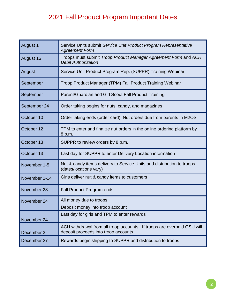# 2021 Fall Product Program Important Dates

| August 1      | Service Units submit Service Unit Product Program Representative<br><b>Agreement Form</b>                        |
|---------------|------------------------------------------------------------------------------------------------------------------|
| August 15     | Troops must submit Troop Product Manager Agreement Form and ACH<br><b>Debit Authorization</b>                    |
| August        | Service Unit Product Program Rep. (SUPPR) Training Webinar                                                       |
| September     | Troop Product Manager (TPM) Fall Product Training Webinar                                                        |
| September     | Parent/Guardian and Girl Scout Fall Product Training                                                             |
| September 24  | Order taking begins for nuts, candy, and magazines                                                               |
| October 10    | Order taking ends (order card) Nut orders due from parents in M2OS                                               |
| October 12    | TPM to enter and finalize nut orders in the online ordering platform by<br>8 p.m.                                |
| October 13    | SUPPR to review orders by 8 p.m.                                                                                 |
| October 13    | Last day for SUPPR to enter Delivery Location information                                                        |
| November 1-5  | Nut & candy items delivery to Service Units and distribution to troops<br>(dates/locations vary)                 |
| November 1-14 | Girls deliver nut & candy items to customers                                                                     |
| November 23   | <b>Fall Product Program ends</b>                                                                                 |
| November 24   | All money due to troops<br>Deposit money into troop account                                                      |
| November 24   | Last day for girls and TPM to enter rewards                                                                      |
| December 3    | ACH withdrawal from all troop accounts. If troops are overpaid GSU will<br>deposit proceeds into troop accounts. |
| December 27   | Rewards begin shipping to SUPPR and distribution to troops                                                       |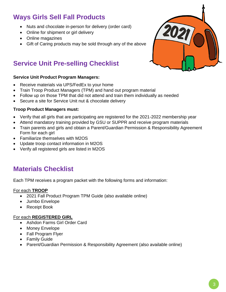# **Ways Girls Sell Fall Products**

- Nuts and chocolate in-person for delivery (order card)
- Online for shipment or girl delivery
- Online magazines
- Gift of Caring products may be sold through any of the above

# **Service Unit Pre-selling Checklist**

#### **Service Unit Product Program Managers:**

- Receive materials via UPS/FedEx to your home
- Train Troop Product Managers (TPM) and hand out program material
- Follow up on those TPM that did not attend and train them individually as needed
- Secure a site for Service Unit nut & chocolate delivery

#### **Troop Product Managers must:**

- Verify that all girls that are participating are registered for the 2021-2022 membership year
- Attend mandatory training provided by GSU or SUPPR and receive program materials
- Train parents and girls and obtain a Parent/Guardian Permission & Responsibility Agreement Form for each girl
- Familiarize themselves with M2OS
- Update troop contact information in M2OS
- Verify all registered girls are listed in M2OS

# **Materials Checklist**

Each TPM receives a program packet with the following forms and information:

#### For each **TROOP**

- 2021 Fall Product Program TPM Guide (also available online)
- Jumbo Envelope
- Receipt Book

#### For each **REGISTERED GIRL**

- Ashdon Farms Girl Order Card
- Money Envelope
- Fall Program Flyer
- Family Guide
- Parent/Guardian Permission & Responsibility Agreement (also available online)

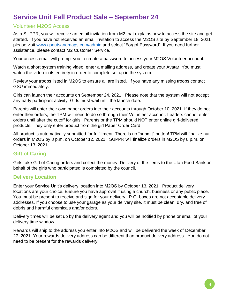# **Service Unit Fall Product Sale – September 24**

## Volunteer M2OS Access

As a SUPPR, you will receive an email invitation from M2 that explains how to access the site and get started. If you have not received an email invitation to access the M2OS site by September 18, 2021 please visit [www.gsnutsandmags.com/admin](http://www.gsnutsandmags.com/admin) and select "Forgot Password". If you need further assistance, please contact M2 Customer Service.

Your access email will prompt you to create a password to access your M2OS Volunteer account.

Watch a short system training video, enter a mailing address, and create your Avatar. You must watch the video in its entirety in order to complete set up in the system.

Review your troops listed in M2OS to ensure all are listed. If you have any missing troops contact GSU immediately.

Girls can launch their accounts on September 24, 2021. Please note that the system will not accept any early participant activity. Girls must wait until the launch date.

Parents will enter their own paper orders into their accounts through October 10, 2021. If they do not enter their orders, the TPM will need to do so through their Volunteer account. Leaders cannot enter orders until after the cutoff for girls. Parents or the TPM should NOT enter online girl-delivered products. They only enter product from the girl Paper Order Card.

All product is automatically submitted for fulfillment. There is no "submit" button! TPM will finalize nut orders in M2OS by 8 p.m. on October 12, 2021. SUPPR will finalize orders in M2OS by 8 p.m. on October 13, 2021.

## **Gift of Caring**

Girls take Gift of Caring orders and collect the money. Delivery of the items to the Utah Food Bank on behalf of the girls who participated is completed by the council.

## **Delivery Location**

Enter your Service Unit's delivery location into M2OS by October 13. 2021. Product delivery locations are your choice. Ensure you have approval if using a church, business or any public place. You must be present to receive and sign for your delivery. P.O. boxes are not acceptable delivery addresses. If you choose to use your garage as your delivery site, it must be clean, dry, and free of debris and harmful chemicals and/or odors.

Delivery times will be set up by the delivery agent and you will be notified by phone or email of your delivery time window.

Rewards will ship to the address you enter into M2OS and will be delivered the week of December 27, 2021. Your rewards delivery address can be different than product delivery address. You do not need to be present for the rewards delivery.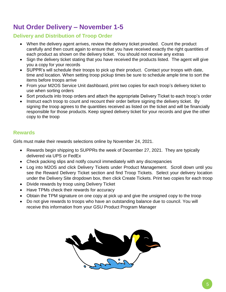# **Nut Order Delivery – November 1-5**

## **Delivery and Distribution of Troop Order**

- When the delivery agent arrives, review the delivery ticket provided. Count the product carefully and then count again to ensure that you have received exactly the right quantities of each product as shown on the delivery ticket. You should not receive any extras
- Sign the delivery ticket stating that you have received the products listed. The agent will give you a copy for your records
- SUPPR's will schedule their troops to pick up their product. Contact your troops with date, time and location. When setting troop pickup times be sure to schedule ample time to sort the items before troops arrive
- From your M2OS Service Unit dashboard, print two copies for each troop's delivery ticket to use when sorting orders
- Sort products into troop orders and attach the appropriate Delivery Ticket to each troop's order
- Instruct each troop to count and recount their order before signing the delivery ticket. By signing the troop agrees to the quantities received as listed on the ticket and will be financially responsible for those products. Keep signed delivery ticket for your records and give the other copy to the troop

## **Rewards**

Girls must make their rewards selections online by November 24, 2021.

- Rewards begin shipping to SUPPRs the week of December 27, 2021. They are typically delivered via UPS or FedEx
- Check packing slips and notify council immediately with any discrepancies
- Log into M2OS and click Delivery Tickets under Product Management. Scroll down until you see the Reward Delivery Ticket section and find Troop Tickets. Select your delivery location under the Delivery Site dropdown box, then click Create Tickets. Print two copies for each troop
- Divide rewards by troop using Delivery Ticket
- Have TPMs check their rewards for accuracy
- Obtain the TPM signature on one copy at pick up and give the unsigned copy to the troop
- Do not give rewards to troops who have an outstanding balance due to council. You will receive this information from your GSU Product Program Manager